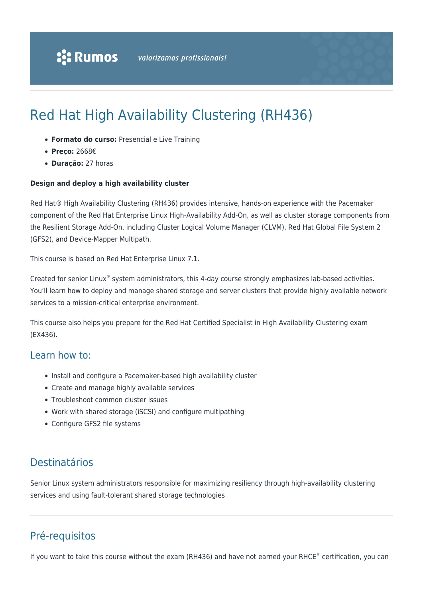# Red Hat High Availability Clustering (RH436)

- **Formato do curso:** Presencial e Live Training
- **Preço:** 2668€
- **Duração:** 27 horas

#### **Design and deploy a high availability cluster**

Red Hat® High Availability Clustering (RH436) provides intensive, hands-on experience with the Pacemaker component of the Red Hat Enterprise Linux High-Availability Add-On, as well as cluster storage components from the Resilient Storage Add-On, including Cluster Logical Volume Manager (CLVM), Red Hat Global File System 2 (GFS2), and Device-Mapper Multipath.

This course is based on Red Hat Enterprise Linux 7.1.

Created for senior Linux® system administrators, this 4-day course strongly emphasizes lab-based activities. You'll learn how to deploy and manage shared storage and server clusters that provide highly available network services to a mission-critical enterprise environment.

This course also helps you prepare for the Red Hat Certified Specialist in High Availability Clustering exam (EX436).

# Learn how to:

- Install and configure a Pacemaker-based high availability cluster
- Create and manage highly available services
- Troubleshoot common cluster issues
- Work with shared storage (iSCSI) and configure multipathing
- Configure GFS2 file systems

# Destinatários

Senior Linux system administrators responsible for maximizing resiliency through high-availability clustering services and using fault-tolerant shared storage technologies

# Pré-requisitos

If you want to take this course without the exam (RH436) and have not earned your RHCE® certification, you can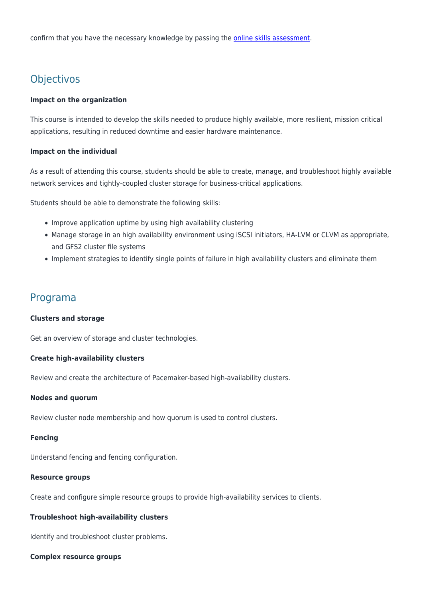confirm that you have the necessary knowledge by passing the **[online skills assessment](https://www.redhat.com/rhtapps/assessment/?partner=rumos)**.

# Objectivos

#### **Impact on the organization**

This course is intended to develop the skills needed to produce highly available, more resilient, mission critical applications, resulting in reduced downtime and easier hardware maintenance.

#### **Impact on the individual**

As a result of attending this course, students should be able to create, manage, and troubleshoot highly available network services and tightly-coupled cluster storage for business-critical applications.

Students should be able to demonstrate the following skills:

- Improve application uptime by using high availability clustering
- Manage storage in an high availability environment using iSCSI initiators, HA-LVM or CLVM as appropriate, and GFS2 cluster file systems
- Implement strategies to identify single points of failure in high availability clusters and eliminate them

# Programa

#### **Clusters and storage**

Get an overview of storage and cluster technologies.

#### **Create high-availability clusters**

Review and create the architecture of Pacemaker-based high-availability clusters.

#### **Nodes and quorum**

Review cluster node membership and how quorum is used to control clusters.

#### **Fencing**

Understand fencing and fencing configuration.

#### **Resource groups**

Create and configure simple resource groups to provide high-availability services to clients.

#### **Troubleshoot high-availability clusters**

Identify and troubleshoot cluster problems.

#### **Complex resource groups**